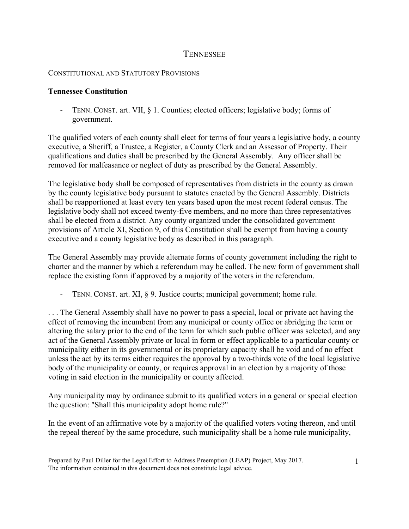# **TENNESSEE**

## CONSTITUTIONAL AND STATUTORY PROVISIONS

### **Tennessee Constitution**

- TENN. CONST. art. VII, § 1. Counties; elected officers; legislative body; forms of government.

The qualified voters of each county shall elect for terms of four years a legislative body, a county executive, a Sheriff, a Trustee, a Register, a County Clerk and an Assessor of Property. Their qualifications and duties shall be prescribed by the General Assembly. Any officer shall be removed for malfeasance or neglect of duty as prescribed by the General Assembly.

The legislative body shall be composed of representatives from districts in the county as drawn by the county legislative body pursuant to statutes enacted by the General Assembly. Districts shall be reapportioned at least every ten years based upon the most recent federal census. The legislative body shall not exceed twenty-five members, and no more than three representatives shall be elected from a district. Any county organized under the consolidated government provisions of Article XI, Section 9, of this Constitution shall be exempt from having a county executive and a county legislative body as described in this paragraph.

The General Assembly may provide alternate forms of county government including the right to charter and the manner by which a referendum may be called. The new form of government shall replace the existing form if approved by a majority of the voters in the referendum.

TENN. CONST. art. XI, § 9. Justice courts; municipal government; home rule.

. . . The General Assembly shall have no power to pass a special, local or private act having the effect of removing the incumbent from any municipal or county office or abridging the term or altering the salary prior to the end of the term for which such public officer was selected, and any act of the General Assembly private or local in form or effect applicable to a particular county or municipality either in its governmental or its proprietary capacity shall be void and of no effect unless the act by its terms either requires the approval by a two-thirds vote of the local legislative body of the municipality or county, or requires approval in an election by a majority of those voting in said election in the municipality or county affected.

Any municipality may by ordinance submit to its qualified voters in a general or special election the question: "Shall this municipality adopt home rule?"

In the event of an affirmative vote by a majority of the qualified voters voting thereon, and until the repeal thereof by the same procedure, such municipality shall be a home rule municipality,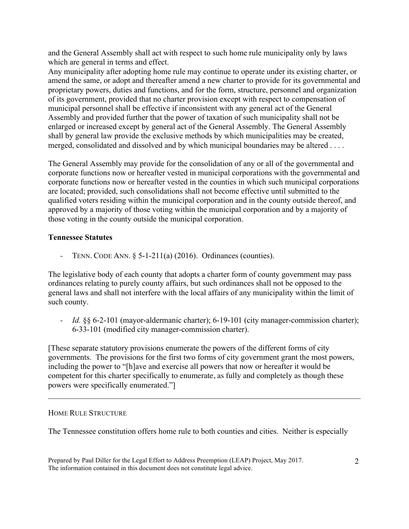and the General Assembly shall act with respect to such home rule municipality only by laws which are general in terms and effect.

Any municipality after adopting home rule may continue to operate under its existing charter, or amend the same, or adopt and thereafter amend a new charter to provide for its governmental and proprietary powers, duties and functions, and for the form, structure, personnel and organization of its government, provided that no charter provision except with respect to compensation of municipal personnel shall be effective if inconsistent with any general act of the General Assembly and provided further that the power of taxation of such municipality shall not be enlarged or increased except by general act of the General Assembly. The General Assembly shall by general law provide the exclusive methods by which municipalities may be created, merged, consolidated and dissolved and by which municipal boundaries may be altered . . . .

The General Assembly may provide for the consolidation of any or all of the governmental and corporate functions now or hereafter vested in municipal corporations with the governmental and corporate functions now or hereafter vested in the counties in which such municipal corporations are located; provided, such consolidations shall not become effective until submitted to the qualified voters residing within the municipal corporation and in the county outside thereof, and approved by a majority of those voting within the municipal corporation and by a majority of those voting in the county outside the municipal corporation.

### **Tennessee Statutes**

- TENN. CODE ANN.  $\S$  5-1-211(a) (2016). Ordinances (counties).

The legislative body of each county that adopts a charter form of county government may pass ordinances relating to purely county affairs, but such ordinances shall not be opposed to the general laws and shall not interfere with the local affairs of any municipality within the limit of such county.

- *Id.* §§ 6-2-101 (mayor-aldermanic charter); 6-19-101 (city manager-commission charter); 6-33-101 (modified city manager-commission charter).

[These separate statutory provisions enumerate the powers of the different forms of city governments. The provisions for the first two forms of city government grant the most powers, including the power to "[h]ave and exercise all powers that now or hereafter it would be competent for this charter specifically to enumerate, as fully and completely as though these powers were specifically enumerated."]

 $\mathcal{L}_\mathcal{L} = \{ \mathcal{L}_\mathcal{L} = \{ \mathcal{L}_\mathcal{L} = \{ \mathcal{L}_\mathcal{L} = \{ \mathcal{L}_\mathcal{L} = \{ \mathcal{L}_\mathcal{L} = \{ \mathcal{L}_\mathcal{L} = \{ \mathcal{L}_\mathcal{L} = \{ \mathcal{L}_\mathcal{L} = \{ \mathcal{L}_\mathcal{L} = \{ \mathcal{L}_\mathcal{L} = \{ \mathcal{L}_\mathcal{L} = \{ \mathcal{L}_\mathcal{L} = \{ \mathcal{L}_\mathcal{L} = \{ \mathcal{L}_\mathcal{$ 

#### HOME RULE STRUCTURE

The Tennessee constitution offers home rule to both counties and cities. Neither is especially

Prepared by Paul Diller for the Legal Effort to Address Preemption (LEAP) Project, May 2017. The information contained in this document does not constitute legal advice.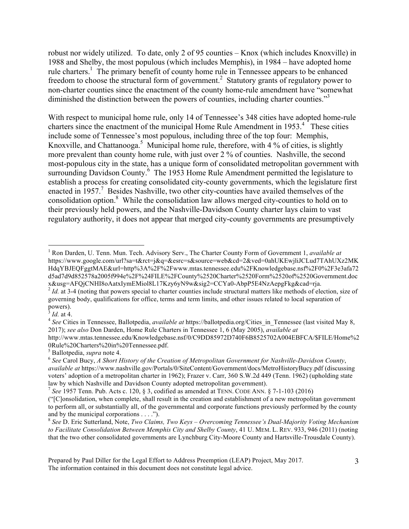robust nor widely utilized. To date, only 2 of 95 counties – Knox (which includes Knoxville) in 1988 and Shelby, the most populous (which includes Memphis), in 1984 – have adopted home rule charters.<sup>1</sup> The primary benefit of county home rule in Tennessee appears to be enhanced freedom to choose the structural form of government.<sup>2</sup> Statutory grants of regulatory power to non-charter counties since the enactment of the county home-rule amendment have "somewhat diminished the distinction between the powers of counties, including charter counties."<sup>3</sup>

With respect to municipal home rule, only 14 of Tennessee's 348 cities have adopted home-rule charters since the enactment of the municipal Home Rule Amendment in 1953.<sup>4</sup> These cities include some of Tennessee's most populous, including three of the top four: Memphis, Knoxville, and Chattanooga.<sup>5</sup> Municipal home rule, therefore, with 4 % of cities, is slightly more prevalent than county home rule, with just over 2 % of counties. Nashville, the second most-populous city in the state, has a unique form of consolidated metropolitan government with surrounding Davidson County.<sup>6</sup> The 1953 Home Rule Amendment permitted the legislature to establish a process for creating consolidated city-county governments, which the legislature first enacted in 1957.<sup>7</sup> Besides Nashville, two other city-counties have availed themselves of the consolidation option.<sup>8</sup> While the consolidation law allows merged city-counties to hold on to their previously held powers, and the Nashville-Davidson County charter lays claim to vast regulatory authority, it does not appear that merged city-county governments are presumptively

 $\frac{1}{1}$ <sup>1</sup> Ron Darden, U. Tenn. Mun. Tech. Advisory Serv., The Charter County Form of Government 1, *available at* https://www.google.com/url?sa=t&rct=j&q=&esrc=s&source=web&cd=2&ved=0ahUKEwjliJCLud7TAhUXz2MK HdqYBJEQFggtMAE&url=http%3A%2F%2Fwww.mtas.tennessee.edu%2FKnowledgebase.nsf%2F0%2F3e3afa72 d5ad7d9d852578a2005f994e%2F%24FILE%2FCounty%2520Charter%2520Form%2520of%2520Government.doc

x&usg=AFQjCNHI8oAatxIymEMiol8L17Kzy6yN9w&sig2=CCYa0-AbpP5E4NzAepgFkg&cad=rja. <sup>2</sup> *Id.* at 3-4 (noting that powers special to charter counties include structural matters like methods of election, size of governing body, qualifications for office, terms and term limits, and other issues related to local separation of powers).

<sup>&</sup>lt;sup>3</sup> *Id.* at 4.<br><sup>4</sup> *See* Cities in Tennessee, Ballotpedia, *available at* https://ballotpedia.org/Cities\_in\_Tennessee (last visited May 8, 2017); *see also* Don Darden, Home Rule Charters in Tennessee 1, 6 (May 2005), *available at*

http://www.mtas.tennessee.edu/Knowledgebase.nsf/0/C9DD85972D740F6B8525702A004EBFCA/\$FILE/Home%2 0Rule%20Charters%20in%20Tennessee.pdf.

 $<sup>5</sup>$  Ballotpedia, *supra* note 4.</sup>

<sup>&</sup>lt;sup>6</sup> See Carol Bucy, *A Short History of the Creation of Metropolitan Government for Nashville-Davidson County*, *available at* https://www.nashville.gov/Portals/0/SiteContent/Government/docs/MetroHistoryBucy.pdf (discussing voters' adoption of a metropolitan charter in 1962); Frazer v. Carr, 360 S.W.2d 449 (Tenn. 1962) (upholding state law by which Nashville and Davidson County adopted metropolitan government).

<sup>7</sup> *See* 1957 Tenn. Pub. Acts c. 120, § 3, codified as amended at TENN. CODE ANN. § 7-1-103 (2016)

<sup>(&</sup>quot;[C]onsolidation, when complete, shall result in the creation and establishment of a new metropolitan government to perform all, or substantially all, of the governmental and corporate functions previously performed by the county and by the municipal corporations . . . .").<br><sup>8</sup> *See* D. Eric Sutterland, Note, *Two Claims, Two Keys – Overcoming Tennessee's Dual-Majority Voting Mechanism* 

*to Facilitate Consolidation Between Memphis City and Shelby County*, 41 U. MEM. L. REV. 933, 946 (2011) (noting that the two other consolidated governments are Lynchburg City-Moore County and Hartsville-Trousdale County).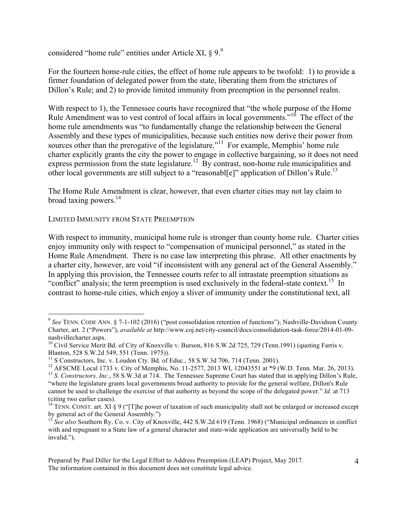considered "home rule" entities under Article XI,  $\S 9$ .

For the fourteen home-rule cities, the effect of home rule appears to be twofold: 1) to provide a firmer foundation of delegated power from the state, liberating them from the strictures of Dillon's Rule; and 2) to provide limited immunity from preemption in the personnel realm.

With respect to 1), the Tennessee courts have recognized that "the whole purpose of the Home Rule Amendment was to vest control of local affairs in local governments."<sup>10</sup> The effect of the home rule amendments was "to fundamentally change the relationship between the General Assembly and these types of municipalities, because such entities now derive their power from sources other than the prerogative of the legislature."<sup>11</sup> For example, Memphis' home rule charter explicitly grants the city the power to engage in collective bargaining, so it does not need express permission from the state legislature.<sup>12</sup> By contrast, non-home rule municipalities and other local governments are still subject to a "reasonabl[e]" application of Dillon's Rule.<sup>13</sup>

The Home Rule Amendment is clear, however, that even charter cities may not lay claim to broad taxing powers.<sup>14</sup>

LIMITED IMMUNITY FROM STATE PREEMPTION

With respect to immunity, municipal home rule is stronger than county home rule. Charter cities enjoy immunity only with respect to "compensation of municipal personnel," as stated in the Home Rule Amendment. There is no case law interpreting this phrase. All other enactments by a charter city, however, are void "if inconsistent with any general act of the General Assembly." In applying this provision, the Tennessee courts refer to all intrastate preemption situations as "conflict" analysis; the term preemption is used exclusively in the federal-state context.<sup>15</sup> In contrast to home-rule cities, which enjoy a sliver of immunity under the constitutional text, all

<sup>9</sup> *See* TENN. CODE ANN. § 7-1-102 (2016) ("post consolidation retention of functions"); Nashville-Davidson County Charter, art. 2 ("Powers"), *available at* http://www.coj.net/city-council/docs/consolidation-task-force/2014-01-09 nashvillecharter.aspx.

<sup>&</sup>lt;sup>10</sup> Civil Service Merit Bd. of City of Knoxville v. Burson, 816 S.W.2d 725, 729 (Tenn.1991) (quoting Farris v. Blanton, 528 S.W.2d 549, 551 (Tenn. 1975)).

<sup>&</sup>lt;sup>11</sup> S Constructors, Inc. v. Loudon Cty. Bd. of Educ., 58 S.W.3d 706, 714 (Tenn. 2001).<br><sup>12</sup> AFSCME Local 1733 v. City of Memphis, No. 11-2577, 2013 WL 12043551 at \*9 (W.D. Tenn. Mar. 26, 2013).<br><sup>13</sup> S. Constructors, Inc. "where the legislature grants local governments broad authority to provide for the general welfare, Dillon's Rule cannot be used to challenge the exercise of that authority as beyond the scope of the delegated power." *Id.* at 713 (citing two earlier cases).

 $14$  TENN. CONST. art. XI § 9 ("[T]he power of taxation of such municipality shall not be enlarged or increased except by general act of the General Assembly.")

<sup>&</sup>lt;sup>15</sup> See also Southern Ry. Co. v. City of Knoxville, 442 S.W.2d 619 (Tenn. 1968) ("Municipal ordinances in conflict with and repugnant to a State law of a general character and state-wide application are universally held to be invalid.").